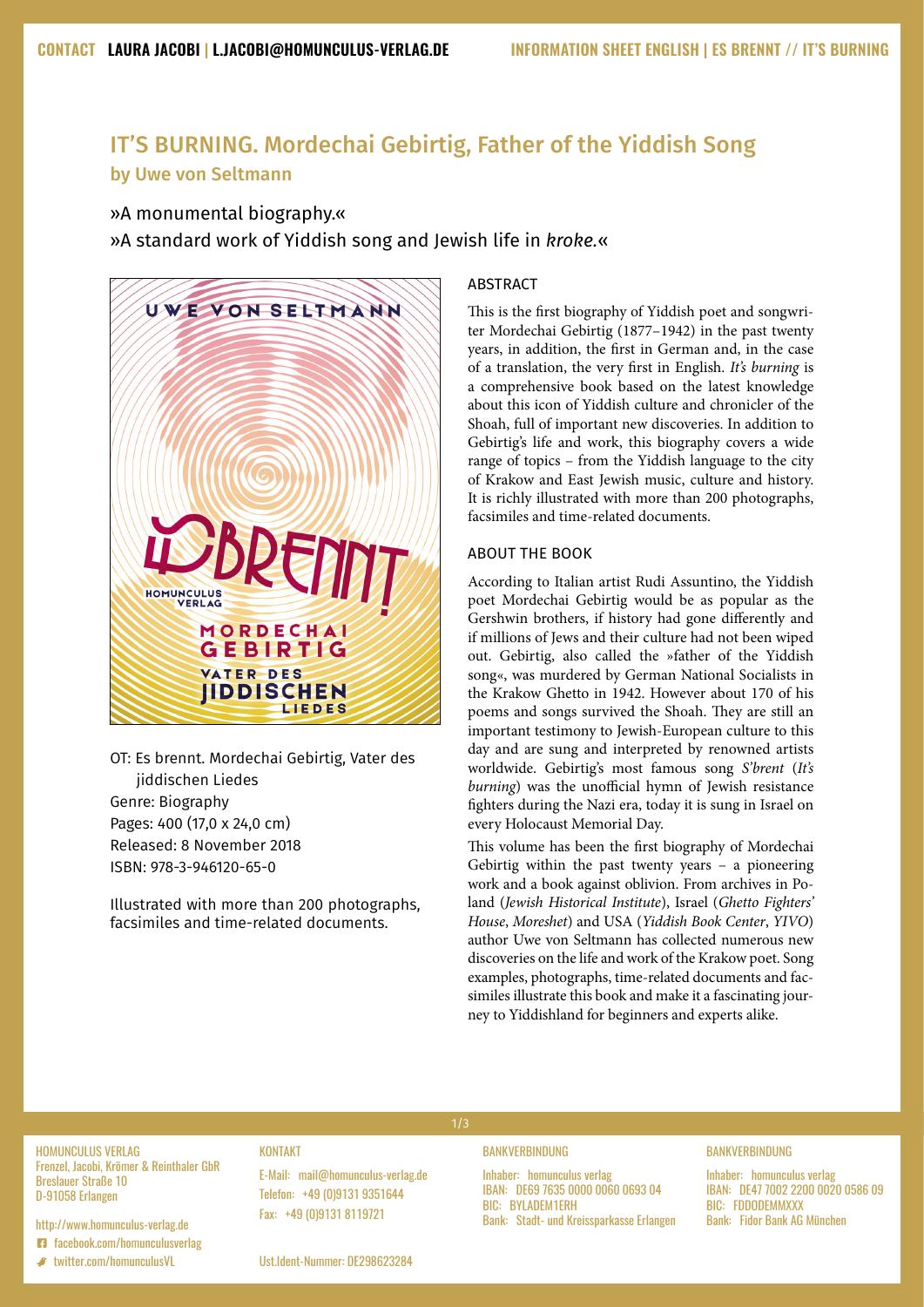# IT'S BURNING. Mordechai Gebirtig, Father of the Yiddish Song by Uwe von Seltmann

# »A monumental biography.«

»A standard work of Yiddish song and Jewish life in *kroke.*«



OT: Es brennt. Mordechai Gebirtig, Vater des jiddischen Liedes Genre: Biography Pages: 400 (17,0 x 24,0 cm) Released: 8 November 2018 ISBN: 978-3-946120-65-0

Illustrated with more than 200 photographs, facsimiles and time-related documents.

# **ABSTRACT**

This is the first biography of Yiddish poet and songwriter Mordechai Gebirtig (1877–1942) in the past twenty years, in addition, the first in German and, in the case of a translation, the very first in English. *It's burning* is a comprehensive book based on the latest knowledge about this icon of Yiddish culture and chronicler of the Shoah, full of important new discoveries. In addition to Gebirtig's life and work, this biography covers a wide range of topics – from the Yiddish language to the city of Krakow and East Jewish music, culture and history. It is richly illustrated with more than 200 photographs, facsimiles and time-related documents.

# ABOUT THE BOOK

According to Italian artist Rudi Assuntino, the Yiddish poet Mordechai Gebirtig would be as popular as the Gershwin brothers, if history had gone differently and if millions of Jews and their culture had not been wiped out. Gebirtig, also called the »father of the Yiddish song«, was murdered by German National Socialists in the Krakow Ghetto in 1942. However about 170 of his poems and songs survived the Shoah. They are still an important testimony to Jewish-European culture to this day and are sung and interpreted by renowned artists worldwide. Gebirtig's most famous song *S'brent* (*It's burning*) was the unofficial hymn of Jewish resistance fighters during the Nazi era, today it is sung in Israel on every Holocaust Memorial Day.

This volume has been the first biography of Mordechai Gebirtig within the past twenty years – a pioneering work and a book against oblivion. From archives in Poland (*Jewish Historical Institute*), Israel (*Ghetto Fighters' House*, *Moreshet*) and USA (*Yiddish Book Center*, *YIVO*) author Uwe von Seltmann has collected numerous new discoveries on the life and work of the Krakow poet. Song examples, photographs, time-related documents and facsimiles illustrate this book and make it a fascinating journey to Yiddishland for beginners and experts alike.

#### **BANKVERBINDUNG**

Inhaber: homunculus verlag IBAN: DE69 7635 0000 0060 0693 04 BIC: BYLADEM1ERH Bank: Stadt- und Kreissparkasse Erlangen

# **BANKVERBINDUNG**

Inhaber: homunculus verlag IBAN: DE47 7002 2200 0020 0586 09 BIC: FDDODEMMXXX Bank: Fidor Bank AG München

HOMUNCULUS VERLAG Frenzel, Jacobi, Krömer & Reinthaler GbR Breslauer Straße 10 D-91058 Erlangen

#### http://[www.homunculus-verlag.de](http://www.homunculus-verlag.de
) **E1** [facebook.com/homunculusverlag](http://www.facebook.com/homunculusverlag)

 $\bullet$  twitter.com/homunculusVL

KONTAKT

E-Mail: <mail@homunculus-verlag.de> Telefon: +49 (0)9131 9351644 Fax: +49 (0)9131 8119721

Ust.Ident-Nummer: DE298623284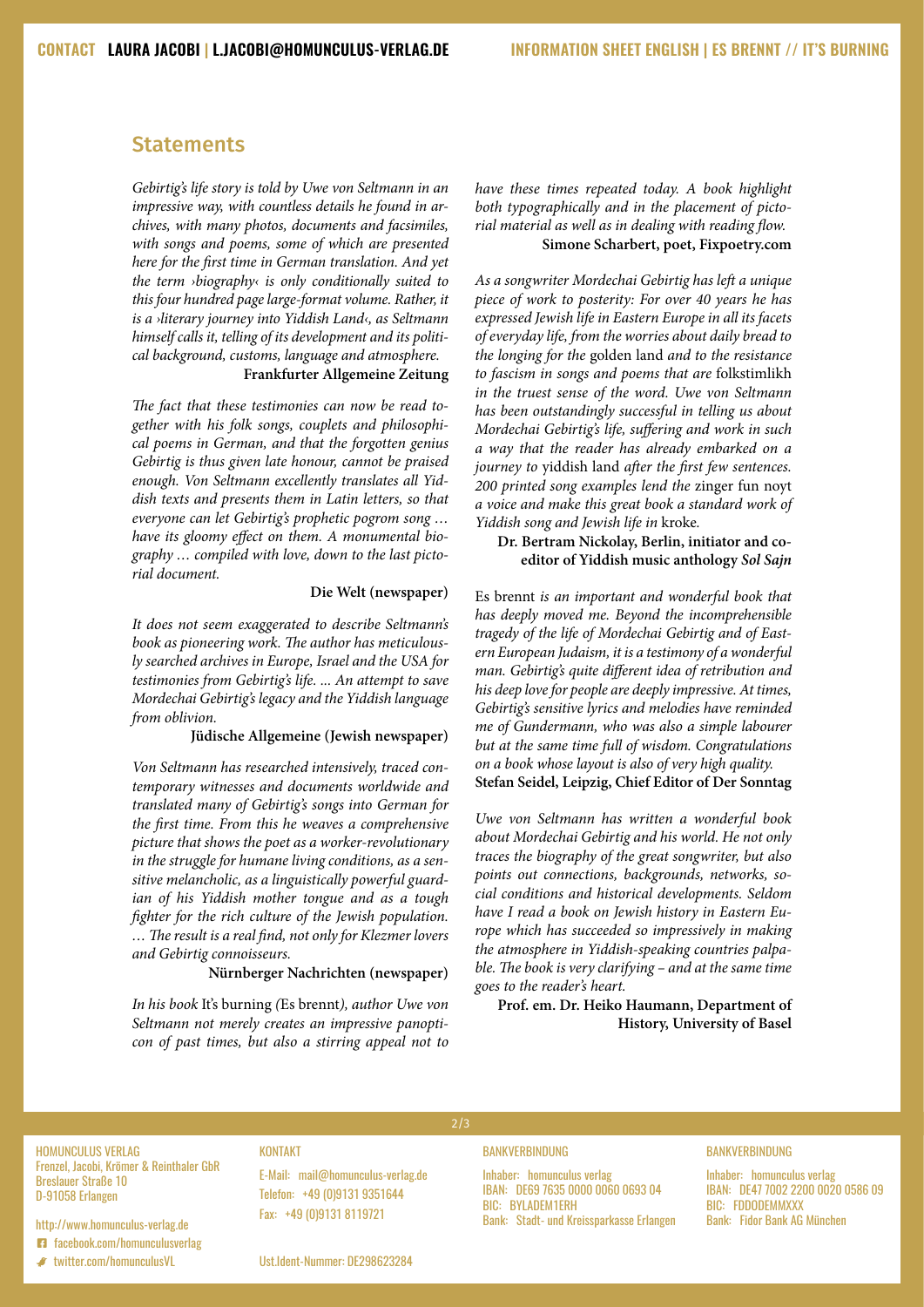# **Statements**

*Gebirtig's life story is told by Uwe von Seltmann in an impressive way, with countless details he found in archives, with many photos, documents and facsimiles, with songs and poems, some of which are presented here for the first time in German translation. And yet the term ›biography‹ is only conditionally suited to this four hundred page large-format volume. Rather, it is a ›literary journey into Yiddish Land‹, as Seltmann himself calls it, telling of its development and its political background, customs, language and atmosphere.* 

#### **Frankfurter Allgemeine Zeitung**

*The fact that these testimonies can now be read together with his folk songs, couplets and philosophical poems in German, and that the forgotten genius Gebirtig is thus given late honour, cannot be praised enough. Von Seltmann excellently translates all Yiddish texts and presents them in Latin letters, so that everyone can let Gebirtig's prophetic pogrom song … have its gloomy effect on them. A monumental biography … compiled with love, down to the last pictorial document.*

#### **Die Welt (newspaper)**

*It does not seem exaggerated to describe Seltmann's book as pioneering work. The author has meticulously searched archives in Europe, Israel and the USA for testimonies from Gebirtig's life. ... An attempt to save Mordechai Gebirtig's legacy and the Yiddish language from oblivion.*

#### **Jüdische Allgemeine (Jewish newspaper)**

*Von Seltmann has researched intensively, traced contemporary witnesses and documents worldwide and translated many of Gebirtig's songs into German for the first time. From this he weaves a comprehensive picture that shows the poet as a worker-revolutionary in the struggle for humane living conditions, as a sensitive melancholic, as a linguistically powerful guardian of his Yiddish mother tongue and as a tough fighter for the rich culture of the Jewish population. … The result is a real find, not only for Klezmer lovers and Gebirtig connoisseurs.*

# **Nürnberger Nachrichten (newspaper)**

*In his book* It's burning *(*Es brennt*), author Uwe von Seltmann not merely creates an impressive panopticon of past times, but also a stirring appeal not to*  *have these times repeated today. A book highlight both typographically and in the placement of pictorial material as well as in dealing with reading flow.* **Simone Scharbert, poet, Fixpoetry.com**

*As a songwriter Mordechai Gebirtig has left a unique piece of work to posterity: For over 40 years he has expressed Jewish life in Eastern Europe in all its facets of everyday life, from the worries about daily bread to the longing for the* golden land *and to the resistance to fascism in songs and poems that are* folkstimlikh *in the truest sense of the word. Uwe von Seltmann has been outstandingly successful in telling us about Mordechai Gebirtig's life, suffering and work in such a way that the reader has already embarked on a journey to* yiddish land *after the first few sentences. 200 printed song examples lend the* zinger fun noyt *a voice and make this great book a standard work of Yiddish song and Jewish life in* kroke*.*

### **Dr. Bertram Nickolay, Berlin, initiator and coeditor of Yiddish music anthology** *Sol Sajn*

Es brennt *is an important and wonderful book that has deeply moved me. Beyond the incomprehensible tragedy of the life of Mordechai Gebirtig and of Eastern European Judaism, it is a testimony of a wonderful man. Gebirtig's quite different idea of retribution and his deep love for people are deeply impressive. At times, Gebirtig's sensitive lyrics and melodies have reminded me of Gundermann, who was also a simple labourer but at the same time full of wisdom. Congratulations on a book whose layout is also of very high quality.* **Stefan Seidel, Leipzig, Chief Editor of Der Sonntag**

*Uwe von Seltmann has written a wonderful book about Mordechai Gebirtig and his world. He not only traces the biography of the great songwriter, but also points out connections, backgrounds, networks, social conditions and historical developments. Seldom have I read a book on Jewish history in Eastern Europe which has succeeded so impressively in making the atmosphere in Yiddish-speaking countries palpable. The book is very clarifying – and at the same time goes to the reader's heart.*

# **Prof. em. Dr. Heiko Haumann, Department of History, University of Basel**

HOMUNCULUS VERLAG Frenzel, Jacobi, Krömer & Reinthaler GbR Breslauer Straße 10 D-91058 Erlangen

http://[www.homunculus-verlag.de](http://www.homunculus-verlag.de
) **E1** [facebook.com/homunculusverlag](http://www.facebook.com/homunculusverlag)

 $\bullet$  twitter.com/homunculusVL

### **KONTAKT**

E-Mail: <mail@homunculus-verlag.de> Telefon: +49 (0)9131 9351644 Fax: +49 (0)9131 8119721

#### BANKVERBINDUNG

2/3

Inhaber: homunculus verlag IBAN: DE69 7635 0000 0060 0693 04 BIC: BYLADEM1ERH Bank: Stadt- und Kreissparkasse Erlangen

#### BANKVERBINDUNG

Inhaber: homunculus verlag IBAN: DE47 7002 2200 0020 0586 09 BIC: FDDODEMMXXX Bank: Fidor Bank AG München

Ust.Ident-Nummer: DE298623284